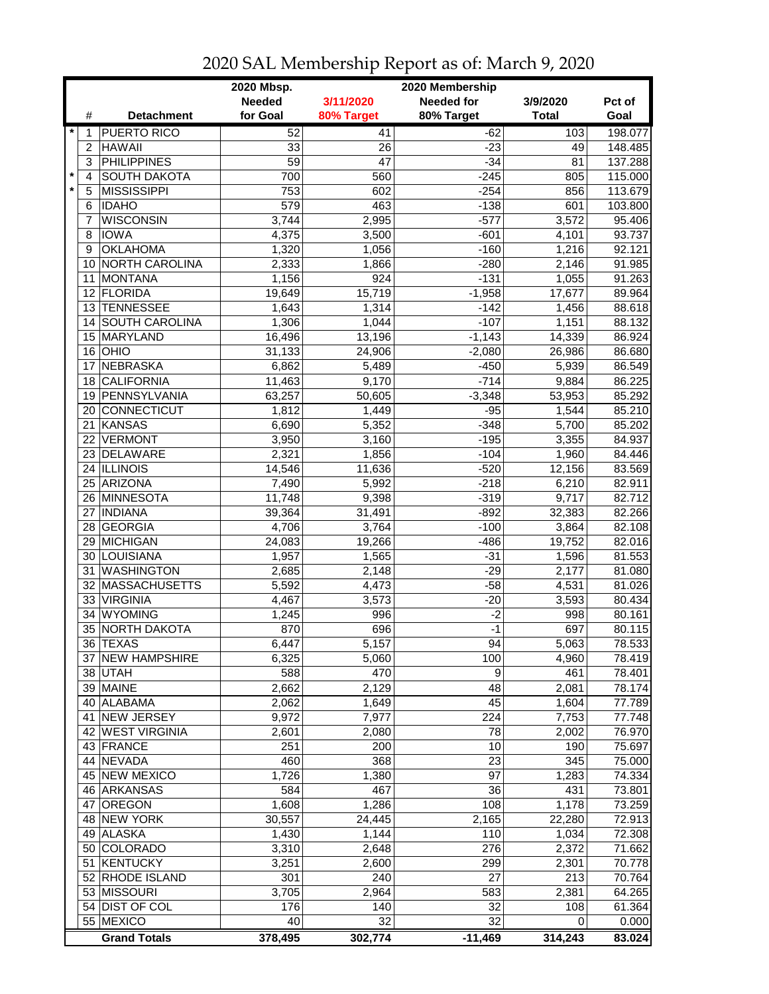|         |                 |                     | 2020 Mbsp.      |                 | 2020 Membership   |              |         |
|---------|-----------------|---------------------|-----------------|-----------------|-------------------|--------------|---------|
|         |                 |                     | <b>Needed</b>   | 3/11/2020       | <b>Needed for</b> | 3/9/2020     | Pct of  |
|         | #               | <b>Detachment</b>   | for Goal        | 80% Target      | 80% Target        | <b>Total</b> | Goal    |
| $\ast$  | 1               | <b>PUERTO RICO</b>  | 52              | $\overline{41}$ | $-62$             | 103          | 198.077 |
|         | $\overline{c}$  | <b>HAWAII</b>       | 33              | 26              | $-23$             | 49           | 148.485 |
|         | 3               | <b>PHILIPPINES</b>  | $\overline{59}$ | 47              | $-34$             | 81           | 137.288 |
| $\star$ | $\overline{4}$  | <b>SOUTH DAKOTA</b> | 700             | 560             | $-245$            | 805          | 115.000 |
|         | 5               | <b>MISSISSIPPI</b>  | 753             | 602             | $-254$            | 856          | 113.679 |
|         | 6               | <b>IDAHO</b>        | 579             | 463             | $-138$            | 601          | 103.800 |
|         | 7               | <b>WISCONSIN</b>    | 3,744           | 2,995           | $-577$            | 3,572        | 95.406  |
|         | 8               | <b>IOWA</b>         | 4,375           | 3,500           | $-601$            | 4,101        | 93.737  |
|         | 9               | <b>OKLAHOMA</b>     | 1,320           | 1,056           | $-160$            | 1,216        | 92.121  |
|         | 10              | NORTH CAROLINA      | 2,333           | 1,866           | $-280$            | 2,146        | 91.985  |
|         | 11              | <b>MONTANA</b>      | 1,156           | 924             | $-131$            | 1,055        | 91.263  |
|         | 12 <sup>2</sup> | FLORIDA             | 19,649          | 15,719          | $-1,958$          | 17,677       | 89.964  |
|         |                 | 13 TENNESSEE        | 1,643           | 1,314           | $-142$            | 1,456        | 88.618  |
|         | 14              | SOUTH CAROLINA      | 1,306           | 1,044           | $-107$            | 1,151        | 88.132  |
|         |                 |                     |                 |                 |                   |              |         |
|         | 15              | MARYLAND            | 16,496          | 13,196          | $-1,143$          | 14,339       | 86.924  |
|         | 16              | OHIO                | 31,133          | 24,906          | $-2,080$          | 26,986       | 86.680  |
|         | 17              | <b>NEBRASKA</b>     | 6,862           | 5,489           | $-450$            | 5,939        | 86.549  |
|         | 18              | <b>CALIFORNIA</b>   | 11,463          | 9,170           | $-714$            | 9,884        | 86.225  |
|         |                 | 19 PENNSYLVANIA     | 63,257          | 50,605          | $-3,348$          | 53,953       | 85.292  |
|         |                 | 20 CONNECTICUT      | 1,812           | 1,449           | $-95$             | 1,544        | 85.210  |
|         |                 | 21 KANSAS           | 6,690           | 5,352           | $-348$            | 5,700        | 85.202  |
|         | 22              | <b>VERMONT</b>      | 3,950           | 3,160           | $-195$            | 3,355        | 84.937  |
|         |                 | 23 DELAWARE         | 2,321           | 1,856           | $-104$            | 1,960        | 84.446  |
|         |                 | 24 ILLINOIS         | 14,546          | 11,636          | $-520$            | 12,156       | 83.569  |
|         |                 | 25 ARIZONA          | 7,490           | 5,992           | $-218$            | 6,210        | 82.911  |
|         |                 | 26 MINNESOTA        | 11,748          | 9,398           | $-319$            | 9,717        | 82.712  |
|         | 27              | <b>INDIANA</b>      | 39,364          | 31,491          | $-892$            | 32,383       | 82.266  |
|         | 28              | <b>GEORGIA</b>      | 4,706           | 3,764           | $-100$            | 3,864        | 82.108  |
|         | 29              | MICHIGAN            | 24,083          | 19,266          | $-486$            | 19,752       | 82.016  |
|         | 30              | LOUISIANA           | 1,957           | 1,565           | $-31$             | 1,596        | 81.553  |
|         | 31              | <b>WASHINGTON</b>   | 2,685           | 2,148           | $-29$             | 2,177        | 81.080  |
|         | 32              | MASSACHUSETTS       | 5,592           | 4,473           | $-58$             | 4,531        | 81.026  |
|         | 33              | <b>VIRGINIA</b>     | 4,467           | 3,573           | $-20$             | 3,593        | 80.434  |
|         | 34              | <b>WYOMING</b>      | 1,245           | 996             | $-2$              | 998          | 80.161  |
|         | 35              | <b>NORTH DAKOTA</b> | 870             | 696             | $-1$              | 697          | 80.115  |
|         |                 | 36 TEXAS            | 6,447           | 5,157           | 94                | 5,063        | 78.533  |
|         |                 | 37 NEW HAMPSHIRE    | 6,325           | 5,060           | 100               | 4,960        | 78.419  |
|         |                 | 38 UTAH             | 588             | 470             | 9                 | 461          | 78.401  |
|         |                 | 39 MAINE            | 2,662           | 2,129           | 48                | 2,081        | 78.174  |
|         |                 | 40 ALABAMA          | 2,062           | 1,649           | 45                | 1,604        | 77.789  |
|         |                 | 41 NEW JERSEY       | 9,972           | 7,977           | 224               | 7,753        | 77.748  |
|         |                 | 42 WEST VIRGINIA    | 2,601           | 2,080           | 78                | 2,002        | 76.970  |
|         |                 | 43 FRANCE           | 251             | 200             | 10                | 190          | 75.697  |
|         |                 | 44 NEVADA           | 460             | 368             | 23                | 345          | 75.000  |
|         |                 | 45 NEW MEXICO       | 1,726           | 1,380           | 97                | 1,283        | 74.334  |
|         |                 | 46 ARKANSAS         | 584             | 467             | 36                | 431          | 73.801  |
|         | 47              | <b>OREGON</b>       | 1,608           | 1,286           | 108               | 1,178        | 73.259  |
|         |                 | 48 NEW YORK         | 30,557          | 24,445          | 2,165             | 22,280       | 72.913  |
|         |                 | 49 ALASKA           | 1,430           | 1,144           | 110               | 1,034        | 72.308  |
|         |                 | 50 COLORADO         | 3,310           | 2,648           | 276               | 2,372        | 71.662  |
|         | 51              | KENTUCKY            | 3,251           | 2,600           | 299               | 2,301        | 70.778  |
|         |                 | 52 RHODE ISLAND     | 301             | 240             | 27                | 213          | 70.764  |
|         |                 | 53 MISSOURI         | 3,705           | 2,964           | 583               | 2,381        | 64.265  |
|         |                 | 54 DIST OF COL      | 176             | 140             | 32                | 108          | 61.364  |
|         |                 | 55 MEXICO           | 40              | 32              | $\overline{32}$   | 0            | 0.000   |
|         |                 | <b>Grand Totals</b> | 378,495         | 302,774         | $-11,469$         | 314,243      | 83.024  |

2020 SAL Membership Report as of: March 9, 2020